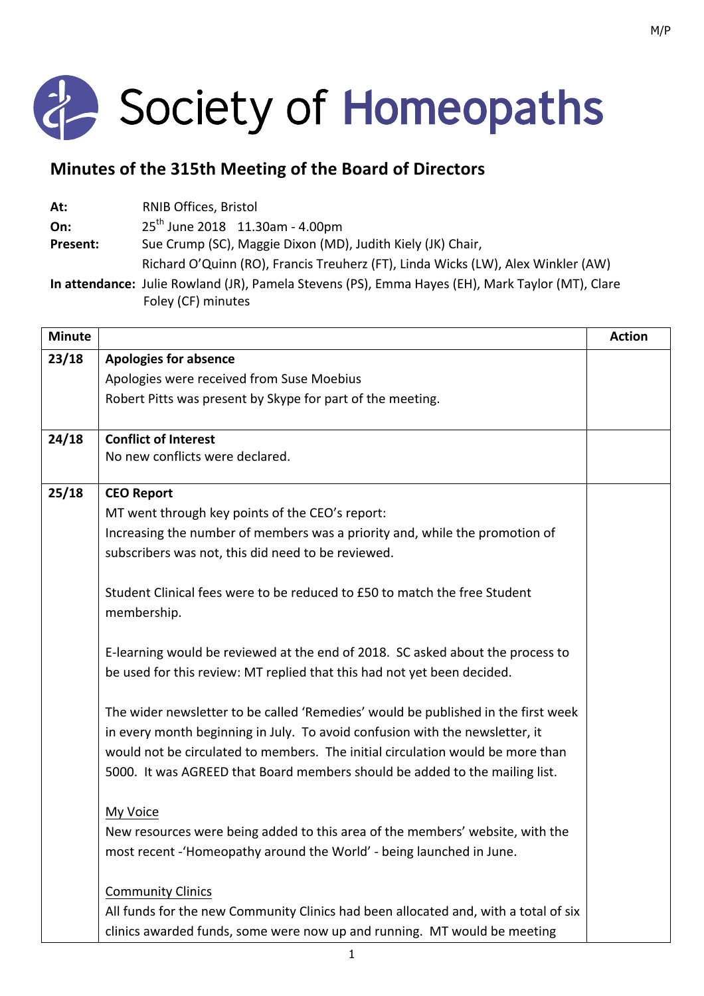

## **Minutes of the 315th Meeting of the Board of Directors**

| At:             | <b>RNIB Offices, Bristol</b>                                                                     |
|-----------------|--------------------------------------------------------------------------------------------------|
| On:             | $25^{th}$ June 2018 11.30am - 4.00pm                                                             |
| <b>Present:</b> | Sue Crump (SC), Maggie Dixon (MD), Judith Kiely (JK) Chair,                                      |
|                 | Richard O'Quinn (RO), Francis Treuherz (FT), Linda Wicks (LW), Alex Winkler (AW)                 |
|                 | In attendance: Julie Rowland (JR), Pamela Stevens (PS), Emma Hayes (EH), Mark Taylor (MT), Clare |

Foley (CF) minutes

| <b>Minute</b> |                                                                                                                                   | <b>Action</b> |
|---------------|-----------------------------------------------------------------------------------------------------------------------------------|---------------|
| 23/18         | <b>Apologies for absence</b>                                                                                                      |               |
|               | Apologies were received from Suse Moebius                                                                                         |               |
|               | Robert Pitts was present by Skype for part of the meeting.                                                                        |               |
| 24/18         | <b>Conflict of Interest</b>                                                                                                       |               |
|               | No new conflicts were declared.                                                                                                   |               |
| 25/18         | <b>CEO Report</b>                                                                                                                 |               |
|               | MT went through key points of the CEO's report:                                                                                   |               |
|               | Increasing the number of members was a priority and, while the promotion of<br>subscribers was not, this did need to be reviewed. |               |
|               | Student Clinical fees were to be reduced to £50 to match the free Student<br>membership.                                          |               |
|               | E-learning would be reviewed at the end of 2018. SC asked about the process to                                                    |               |
|               | be used for this review: MT replied that this had not yet been decided.                                                           |               |
|               | The wider newsletter to be called 'Remedies' would be published in the first week                                                 |               |
|               | in every month beginning in July. To avoid confusion with the newsletter, it                                                      |               |
|               | would not be circulated to members. The initial circulation would be more than                                                    |               |
|               | 5000. It was AGREED that Board members should be added to the mailing list.                                                       |               |
|               | My Voice                                                                                                                          |               |
|               | New resources were being added to this area of the members' website, with the                                                     |               |
|               | most recent - 'Homeopathy around the World' - being launched in June.                                                             |               |
|               | <b>Community Clinics</b>                                                                                                          |               |
|               | All funds for the new Community Clinics had been allocated and, with a total of six                                               |               |
|               | clinics awarded funds, some were now up and running. MT would be meeting                                                          |               |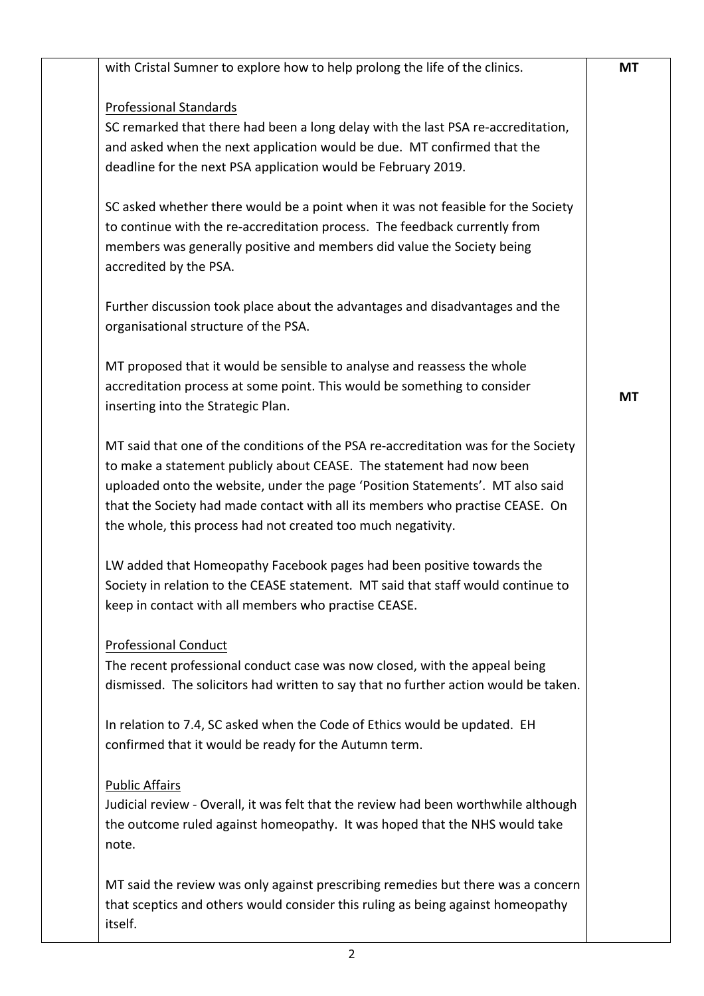| with Cristal Sumner to explore how to help prolong the life of the clinics.         | <b>MT</b> |
|-------------------------------------------------------------------------------------|-----------|
| <b>Professional Standards</b>                                                       |           |
| SC remarked that there had been a long delay with the last PSA re-accreditation,    |           |
| and asked when the next application would be due. MT confirmed that the             |           |
| deadline for the next PSA application would be February 2019.                       |           |
|                                                                                     |           |
| SC asked whether there would be a point when it was not feasible for the Society    |           |
| to continue with the re-accreditation process. The feedback currently from          |           |
| members was generally positive and members did value the Society being              |           |
| accredited by the PSA.                                                              |           |
|                                                                                     |           |
| Further discussion took place about the advantages and disadvantages and the        |           |
| organisational structure of the PSA.                                                |           |
| MT proposed that it would be sensible to analyse and reassess the whole             |           |
| accreditation process at some point. This would be something to consider            |           |
| inserting into the Strategic Plan.                                                  | <b>MT</b> |
|                                                                                     |           |
| MT said that one of the conditions of the PSA re-accreditation was for the Society  |           |
| to make a statement publicly about CEASE. The statement had now been                |           |
| uploaded onto the website, under the page 'Position Statements'. MT also said       |           |
| that the Society had made contact with all its members who practise CEASE. On       |           |
| the whole, this process had not created too much negativity.                        |           |
| LW added that Homeopathy Facebook pages had been positive towards the               |           |
| Society in relation to the CEASE statement. MT said that staff would continue to    |           |
| keep in contact with all members who practise CEASE.                                |           |
|                                                                                     |           |
| <b>Professional Conduct</b>                                                         |           |
| The recent professional conduct case was now closed, with the appeal being          |           |
| dismissed. The solicitors had written to say that no further action would be taken. |           |
| In relation to 7.4, SC asked when the Code of Ethics would be updated. EH           |           |
| confirmed that it would be ready for the Autumn term.                               |           |
|                                                                                     |           |
| <b>Public Affairs</b>                                                               |           |
| Judicial review - Overall, it was felt that the review had been worthwhile although |           |
| the outcome ruled against homeopathy. It was hoped that the NHS would take          |           |
| note.                                                                               |           |
|                                                                                     |           |
| MT said the review was only against prescribing remedies but there was a concern    |           |
| that sceptics and others would consider this ruling as being against homeopathy     |           |
| itself.                                                                             |           |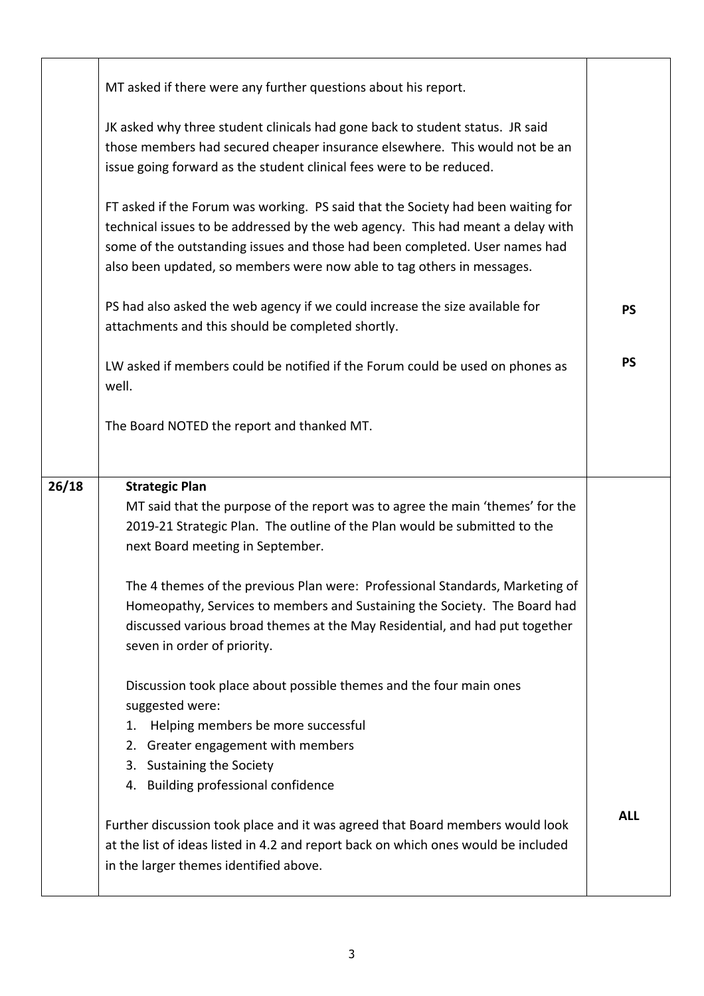|       | MT asked if there were any further questions about his report.                                                                                                                                                                                                                                                               |            |
|-------|------------------------------------------------------------------------------------------------------------------------------------------------------------------------------------------------------------------------------------------------------------------------------------------------------------------------------|------------|
|       | JK asked why three student clinicals had gone back to student status. JR said<br>those members had secured cheaper insurance elsewhere. This would not be an<br>issue going forward as the student clinical fees were to be reduced.                                                                                         |            |
|       | FT asked if the Forum was working. PS said that the Society had been waiting for<br>technical issues to be addressed by the web agency. This had meant a delay with<br>some of the outstanding issues and those had been completed. User names had<br>also been updated, so members were now able to tag others in messages. |            |
|       | PS had also asked the web agency if we could increase the size available for<br>attachments and this should be completed shortly.                                                                                                                                                                                            | <b>PS</b>  |
|       | LW asked if members could be notified if the Forum could be used on phones as<br>well.                                                                                                                                                                                                                                       | <b>PS</b>  |
|       | The Board NOTED the report and thanked MT.                                                                                                                                                                                                                                                                                   |            |
|       |                                                                                                                                                                                                                                                                                                                              |            |
| 26/18 | <b>Strategic Plan</b><br>MT said that the purpose of the report was to agree the main 'themes' for the<br>2019-21 Strategic Plan. The outline of the Plan would be submitted to the<br>next Board meeting in September.                                                                                                      |            |
|       | The 4 themes of the previous Plan were: Professional Standards, Marketing of<br>Homeopathy, Services to members and Sustaining the Society. The Board had<br>discussed various broad themes at the May Residential, and had put together<br>seven in order of priority.                                                      |            |
|       | Discussion took place about possible themes and the four main ones<br>suggested were:<br>Helping members be more successful<br>1.<br>Greater engagement with members<br>2.<br>3. Sustaining the Society<br>4. Building professional confidence                                                                               |            |
|       | Further discussion took place and it was agreed that Board members would look<br>at the list of ideas listed in 4.2 and report back on which ones would be included<br>in the larger themes identified above.                                                                                                                | <b>ALL</b> |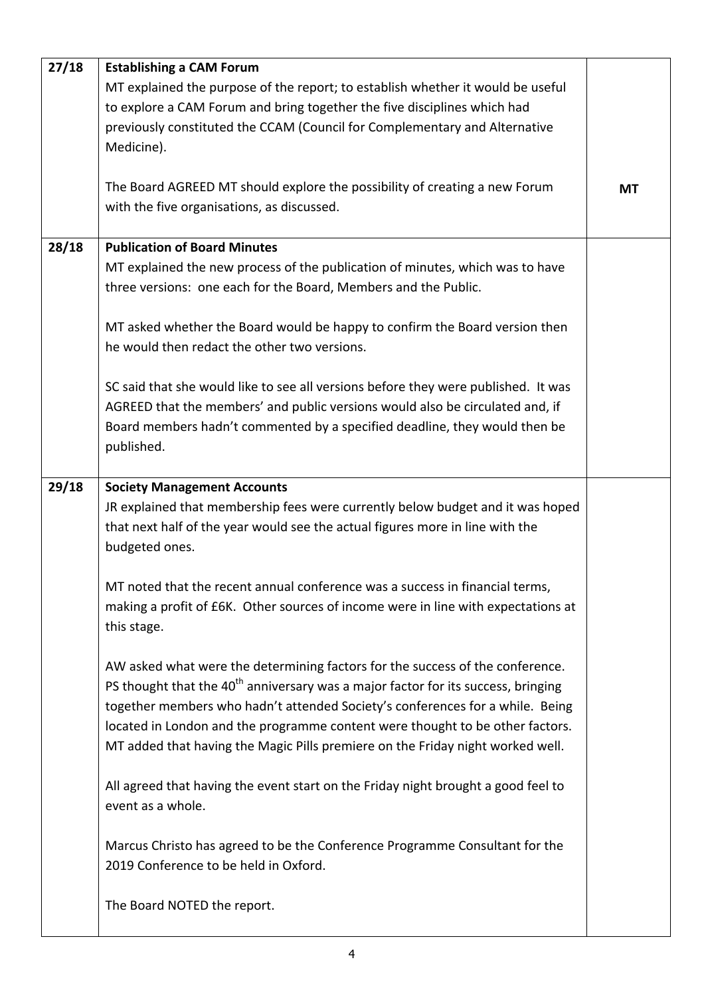| 27/18 | <b>Establishing a CAM Forum</b>                                                               |    |
|-------|-----------------------------------------------------------------------------------------------|----|
|       | MT explained the purpose of the report; to establish whether it would be useful               |    |
|       | to explore a CAM Forum and bring together the five disciplines which had                      |    |
|       | previously constituted the CCAM (Council for Complementary and Alternative                    |    |
|       | Medicine).                                                                                    |    |
|       |                                                                                               |    |
|       | The Board AGREED MT should explore the possibility of creating a new Forum                    | MT |
|       | with the five organisations, as discussed.                                                    |    |
|       |                                                                                               |    |
| 28/18 | <b>Publication of Board Minutes</b>                                                           |    |
|       | MT explained the new process of the publication of minutes, which was to have                 |    |
|       | three versions: one each for the Board, Members and the Public.                               |    |
|       |                                                                                               |    |
|       | MT asked whether the Board would be happy to confirm the Board version then                   |    |
|       | he would then redact the other two versions.                                                  |    |
|       |                                                                                               |    |
|       | SC said that she would like to see all versions before they were published. It was            |    |
|       | AGREED that the members' and public versions would also be circulated and, if                 |    |
|       | Board members hadn't commented by a specified deadline, they would then be                    |    |
|       | published.                                                                                    |    |
|       |                                                                                               |    |
| 29/18 | <b>Society Management Accounts</b>                                                            |    |
|       | JR explained that membership fees were currently below budget and it was hoped                |    |
|       | that next half of the year would see the actual figures more in line with the                 |    |
|       | budgeted ones.                                                                                |    |
|       |                                                                                               |    |
|       | MT noted that the recent annual conference was a success in financial terms,                  |    |
|       | making a profit of £6K. Other sources of income were in line with expectations at             |    |
|       | this stage.                                                                                   |    |
|       |                                                                                               |    |
|       | AW asked what were the determining factors for the success of the conference.                 |    |
|       | PS thought that the 40 <sup>th</sup> anniversary was a major factor for its success, bringing |    |
|       | together members who hadn't attended Society's conferences for a while. Being                 |    |
|       | located in London and the programme content were thought to be other factors.                 |    |
|       | MT added that having the Magic Pills premiere on the Friday night worked well.                |    |
|       |                                                                                               |    |
|       | All agreed that having the event start on the Friday night brought a good feel to             |    |
|       | event as a whole.                                                                             |    |
|       |                                                                                               |    |
|       | Marcus Christo has agreed to be the Conference Programme Consultant for the                   |    |
|       | 2019 Conference to be held in Oxford.                                                         |    |
|       |                                                                                               |    |
|       | The Board NOTED the report.                                                                   |    |
|       |                                                                                               |    |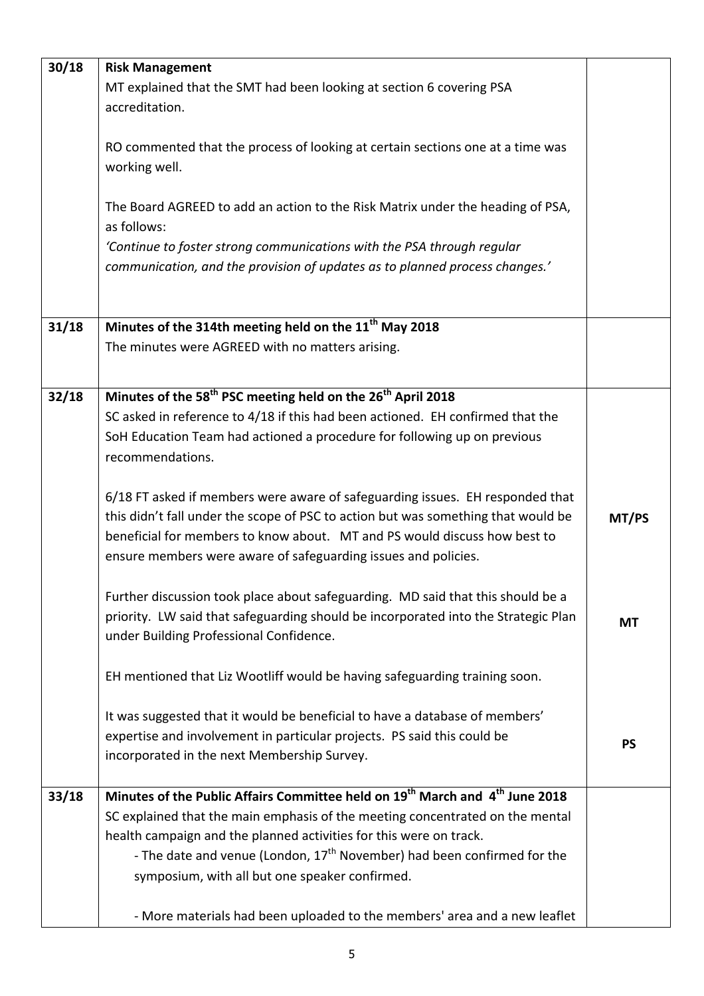| 30/18 | <b>Risk Management</b>                                                                               |           |
|-------|------------------------------------------------------------------------------------------------------|-----------|
|       | MT explained that the SMT had been looking at section 6 covering PSA                                 |           |
|       | accreditation.                                                                                       |           |
|       |                                                                                                      |           |
|       |                                                                                                      |           |
|       | RO commented that the process of looking at certain sections one at a time was                       |           |
|       | working well.                                                                                        |           |
|       |                                                                                                      |           |
|       | The Board AGREED to add an action to the Risk Matrix under the heading of PSA,                       |           |
|       | as follows:                                                                                          |           |
|       | 'Continue to foster strong communications with the PSA through regular                               |           |
|       | communication, and the provision of updates as to planned process changes.'                          |           |
|       |                                                                                                      |           |
|       |                                                                                                      |           |
| 31/18 | Minutes of the 314th meeting held on the 11 <sup>th</sup> May 2018                                   |           |
|       | The minutes were AGREED with no matters arising.                                                     |           |
|       |                                                                                                      |           |
| 32/18 | Minutes of the 58 <sup>th</sup> PSC meeting held on the 26 <sup>th</sup> April 2018                  |           |
|       |                                                                                                      |           |
|       | SC asked in reference to 4/18 if this had been actioned. EH confirmed that the                       |           |
|       | SoH Education Team had actioned a procedure for following up on previous                             |           |
|       | recommendations.                                                                                     |           |
|       |                                                                                                      |           |
|       | 6/18 FT asked if members were aware of safeguarding issues. EH responded that                        |           |
|       | this didn't fall under the scope of PSC to action but was something that would be                    | MT/PS     |
|       | beneficial for members to know about. MT and PS would discuss how best to                            |           |
|       | ensure members were aware of safeguarding issues and policies.                                       |           |
|       |                                                                                                      |           |
|       | Further discussion took place about safeguarding. MD said that this should be a                      |           |
|       | priority. LW said that safeguarding should be incorporated into the Strategic Plan                   | <b>MT</b> |
|       | under Building Professional Confidence.                                                              |           |
|       |                                                                                                      |           |
|       | EH mentioned that Liz Wootliff would be having safeguarding training soon.                           |           |
|       |                                                                                                      |           |
|       | It was suggested that it would be beneficial to have a database of members'                          |           |
|       | expertise and involvement in particular projects. PS said this could be                              | <b>PS</b> |
|       | incorporated in the next Membership Survey.                                                          |           |
|       |                                                                                                      |           |
| 33/18 | Minutes of the Public Affairs Committee held on 19 <sup>th</sup> March and 4 <sup>th</sup> June 2018 |           |
|       | SC explained that the main emphasis of the meeting concentrated on the mental                        |           |
|       | health campaign and the planned activities for this were on track.                                   |           |
|       | - The date and venue (London, 17 <sup>th</sup> November) had been confirmed for the                  |           |
|       | symposium, with all but one speaker confirmed.                                                       |           |
|       |                                                                                                      |           |
|       | - More materials had been uploaded to the members' area and a new leaflet                            |           |